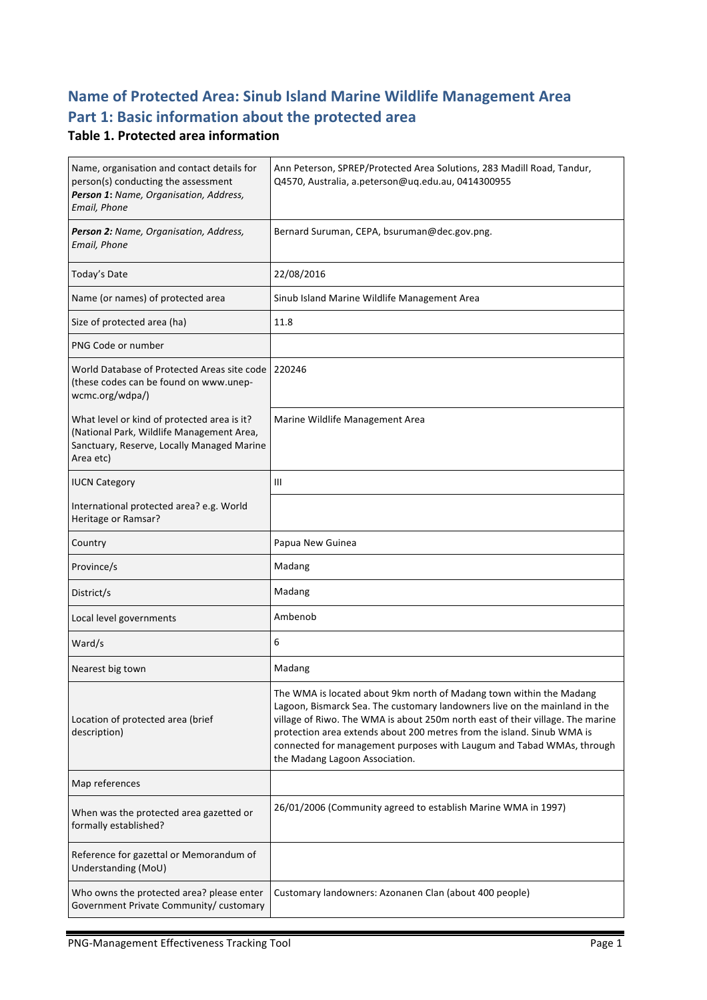## **Name of Protected Area: Sinub Island Marine Wildlife Management Area** Part 1: Basic information about the protected area

#### **Table 1. Protected area information**

| Name, organisation and contact details for<br>person(s) conducting the assessment<br>Person 1: Name, Organisation, Address,<br>Email, Phone         | Ann Peterson, SPREP/Protected Area Solutions, 283 Madill Road, Tandur,<br>Q4570, Australia, a.peterson@uq.edu.au, 0414300955                                                                                                                                                                                                                                                                                             |
|-----------------------------------------------------------------------------------------------------------------------------------------------------|--------------------------------------------------------------------------------------------------------------------------------------------------------------------------------------------------------------------------------------------------------------------------------------------------------------------------------------------------------------------------------------------------------------------------|
| Person 2: Name, Organisation, Address,<br>Email, Phone                                                                                              | Bernard Suruman, CEPA, bsuruman@dec.gov.png.                                                                                                                                                                                                                                                                                                                                                                             |
| Today's Date                                                                                                                                        | 22/08/2016                                                                                                                                                                                                                                                                                                                                                                                                               |
| Name (or names) of protected area                                                                                                                   | Sinub Island Marine Wildlife Management Area                                                                                                                                                                                                                                                                                                                                                                             |
| Size of protected area (ha)                                                                                                                         | 11.8                                                                                                                                                                                                                                                                                                                                                                                                                     |
| PNG Code or number                                                                                                                                  |                                                                                                                                                                                                                                                                                                                                                                                                                          |
| World Database of Protected Areas site code<br>(these codes can be found on www.unep-<br>wcmc.org/wdpa/)                                            | 220246                                                                                                                                                                                                                                                                                                                                                                                                                   |
| What level or kind of protected area is it?<br>(National Park, Wildlife Management Area,<br>Sanctuary, Reserve, Locally Managed Marine<br>Area etc) | Marine Wildlife Management Area                                                                                                                                                                                                                                                                                                                                                                                          |
| <b>IUCN Category</b>                                                                                                                                | Ш                                                                                                                                                                                                                                                                                                                                                                                                                        |
| International protected area? e.g. World<br>Heritage or Ramsar?                                                                                     |                                                                                                                                                                                                                                                                                                                                                                                                                          |
| Country                                                                                                                                             | Papua New Guinea                                                                                                                                                                                                                                                                                                                                                                                                         |
| Province/s                                                                                                                                          | Madang                                                                                                                                                                                                                                                                                                                                                                                                                   |
| District/s                                                                                                                                          | Madang                                                                                                                                                                                                                                                                                                                                                                                                                   |
| Local level governments                                                                                                                             | Ambenob                                                                                                                                                                                                                                                                                                                                                                                                                  |
| Ward/s                                                                                                                                              | 6                                                                                                                                                                                                                                                                                                                                                                                                                        |
| Nearest big town                                                                                                                                    | Madang                                                                                                                                                                                                                                                                                                                                                                                                                   |
| Location of protected area (brief<br>description)                                                                                                   | The WMA is located about 9km north of Madang town within the Madang<br>Lagoon, Bismarck Sea. The customary landowners live on the mainland in the<br>village of Riwo. The WMA is about 250m north east of their village. The marine<br>protection area extends about 200 metres from the island. Sinub WMA is<br>connected for management purposes with Laugum and Tabad WMAs, through<br>the Madang Lagoon Association. |
| Map references                                                                                                                                      |                                                                                                                                                                                                                                                                                                                                                                                                                          |
| When was the protected area gazetted or<br>formally established?                                                                                    | 26/01/2006 (Community agreed to establish Marine WMA in 1997)                                                                                                                                                                                                                                                                                                                                                            |
| Reference for gazettal or Memorandum of<br>Understanding (MoU)                                                                                      |                                                                                                                                                                                                                                                                                                                                                                                                                          |
| Who owns the protected area? please enter<br>Government Private Community/ customary                                                                | Customary landowners: Azonanen Clan (about 400 people)                                                                                                                                                                                                                                                                                                                                                                   |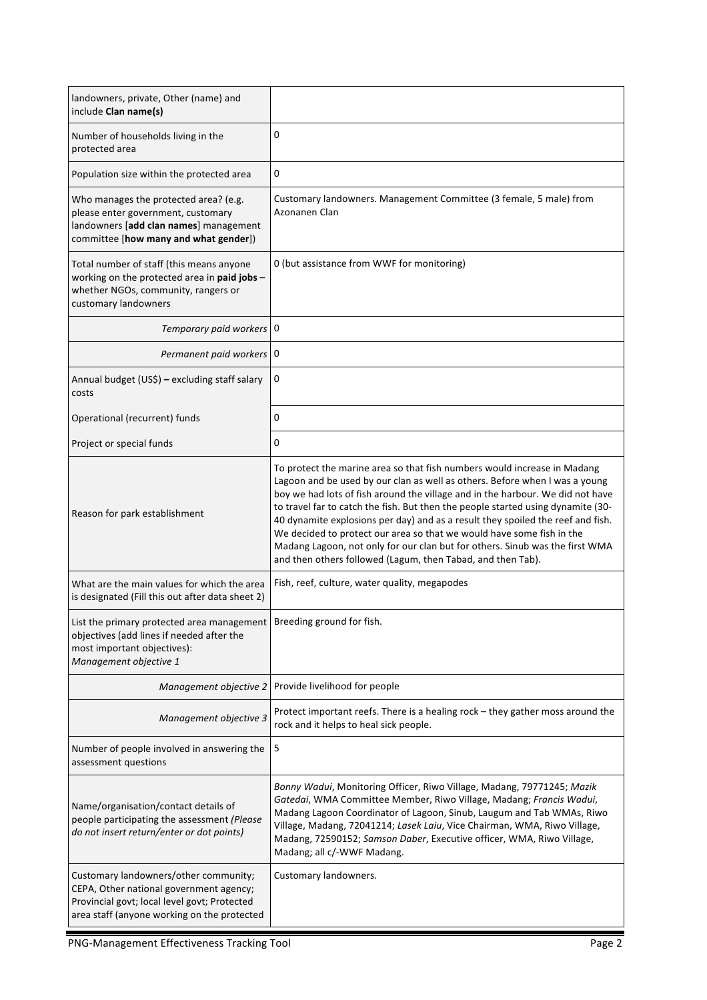| landowners, private, Other (name) and<br>include Clan name(s)                                                                                                                   |                                                                                                                                                                                                                                                                                                                                                                                                                                                                                                                                                                                                                                          |
|---------------------------------------------------------------------------------------------------------------------------------------------------------------------------------|------------------------------------------------------------------------------------------------------------------------------------------------------------------------------------------------------------------------------------------------------------------------------------------------------------------------------------------------------------------------------------------------------------------------------------------------------------------------------------------------------------------------------------------------------------------------------------------------------------------------------------------|
| Number of households living in the<br>protected area                                                                                                                            | 0                                                                                                                                                                                                                                                                                                                                                                                                                                                                                                                                                                                                                                        |
| Population size within the protected area                                                                                                                                       | 0                                                                                                                                                                                                                                                                                                                                                                                                                                                                                                                                                                                                                                        |
| Who manages the protected area? (e.g.<br>please enter government, customary<br>landowners [add clan names] management<br>committee [how many and what gender])                  | Customary landowners. Management Committee (3 female, 5 male) from<br>Azonanen Clan                                                                                                                                                                                                                                                                                                                                                                                                                                                                                                                                                      |
| Total number of staff (this means anyone<br>working on the protected area in paid jobs -<br>whether NGOs, community, rangers or<br>customary landowners                         | 0 (but assistance from WWF for monitoring)                                                                                                                                                                                                                                                                                                                                                                                                                                                                                                                                                                                               |
| Temporary paid workers   0                                                                                                                                                      |                                                                                                                                                                                                                                                                                                                                                                                                                                                                                                                                                                                                                                          |
| Permanent paid workers   0                                                                                                                                                      |                                                                                                                                                                                                                                                                                                                                                                                                                                                                                                                                                                                                                                          |
| Annual budget (US\$) - excluding staff salary<br>costs                                                                                                                          | 0                                                                                                                                                                                                                                                                                                                                                                                                                                                                                                                                                                                                                                        |
| Operational (recurrent) funds                                                                                                                                                   | 0                                                                                                                                                                                                                                                                                                                                                                                                                                                                                                                                                                                                                                        |
| Project or special funds                                                                                                                                                        | 0                                                                                                                                                                                                                                                                                                                                                                                                                                                                                                                                                                                                                                        |
| Reason for park establishment                                                                                                                                                   | To protect the marine area so that fish numbers would increase in Madang<br>Lagoon and be used by our clan as well as others. Before when I was a young<br>boy we had lots of fish around the village and in the harbour. We did not have<br>to travel far to catch the fish. But then the people started using dynamite (30-<br>40 dynamite explosions per day) and as a result they spoiled the reef and fish.<br>We decided to protect our area so that we would have some fish in the<br>Madang Lagoon, not only for our clan but for others. Sinub was the first WMA<br>and then others followed (Lagum, then Tabad, and then Tab). |
| What are the main values for which the area<br>is designated (Fill this out after data sheet 2)                                                                                 | Fish, reef, culture, water quality, megapodes                                                                                                                                                                                                                                                                                                                                                                                                                                                                                                                                                                                            |
| List the primary protected area management<br>objectives (add lines if needed after the<br>most important objectives):<br>Management objective 1                                | Breeding ground for fish.                                                                                                                                                                                                                                                                                                                                                                                                                                                                                                                                                                                                                |
| Management objective 2                                                                                                                                                          | Provide livelihood for people                                                                                                                                                                                                                                                                                                                                                                                                                                                                                                                                                                                                            |
| Management objective 3                                                                                                                                                          | Protect important reefs. There is a healing rock - they gather moss around the<br>rock and it helps to heal sick people.                                                                                                                                                                                                                                                                                                                                                                                                                                                                                                                 |
| Number of people involved in answering the<br>assessment questions                                                                                                              | 5                                                                                                                                                                                                                                                                                                                                                                                                                                                                                                                                                                                                                                        |
| Name/organisation/contact details of<br>people participating the assessment (Please<br>do not insert return/enter or dot points)                                                | Bonny Wadui, Monitoring Officer, Riwo Village, Madang, 79771245; Mazik<br>Gatedai, WMA Committee Member, Riwo Village, Madang; Francis Wadui,<br>Madang Lagoon Coordinator of Lagoon, Sinub, Laugum and Tab WMAs, Riwo<br>Village, Madang, 72041214; Lasek Laiu, Vice Chairman, WMA, Riwo Village,<br>Madang, 72590152; Samson Daber, Executive officer, WMA, Riwo Village,<br>Madang; all c/-WWF Madang.                                                                                                                                                                                                                                |
| Customary landowners/other community;<br>CEPA, Other national government agency;<br>Provincial govt; local level govt; Protected<br>area staff (anyone working on the protected | Customary landowners.                                                                                                                                                                                                                                                                                                                                                                                                                                                                                                                                                                                                                    |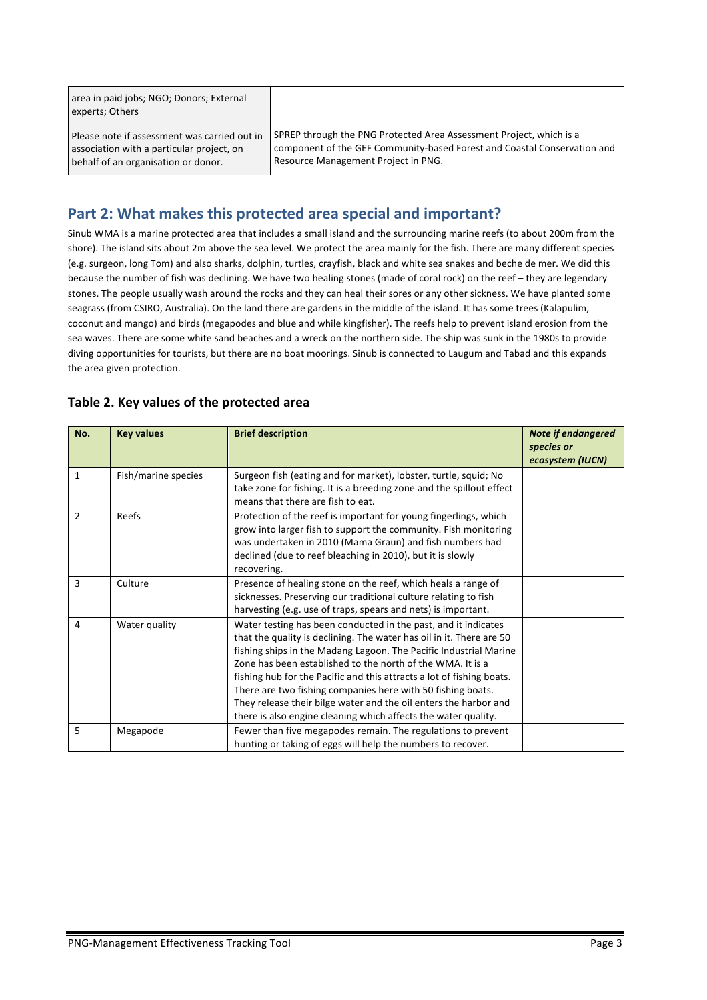| area in paid jobs; NGO; Donors; External<br>experts; Others |                                                                          |
|-------------------------------------------------------------|--------------------------------------------------------------------------|
| Please note if assessment was carried out in                | SPREP through the PNG Protected Area Assessment Project, which is a      |
| association with a particular project, on                   | component of the GEF Community-based Forest and Coastal Conservation and |
| behalf of an organisation or donor.                         | Resource Management Project in PNG.                                      |

#### Part 2: What makes this protected area special and important?

Sinub WMA is a marine protected area that includes a small island and the surrounding marine reefs (to about 200m from the shore). The island sits about 2m above the sea level. We protect the area mainly for the fish. There are many different species (e.g. surgeon, long Tom) and also sharks, dolphin, turtles, crayfish, black and white sea snakes and beche de mer. We did this because the number of fish was declining. We have two healing stones (made of coral rock) on the reef – they are legendary stones. The people usually wash around the rocks and they can heal their sores or any other sickness. We have planted some seagrass (from CSIRO, Australia). On the land there are gardens in the middle of the island. It has some trees (Kalapulim, coconut and mango) and birds (megapodes and blue and while kingfisher). The reefs help to prevent island erosion from the sea waves. There are some white sand beaches and a wreck on the northern side. The ship was sunk in the 1980s to provide diving opportunities for tourists, but there are no boat moorings. Sinub is connected to Laugum and Tabad and this expands the area given protection.

| No.            | <b>Key values</b>   | <b>Brief description</b>                                                                                                                                                                                                                                                                                                                                                                                                                                                                                                                                | <b>Note if endangered</b><br>species or<br>ecosystem (IUCN) |
|----------------|---------------------|---------------------------------------------------------------------------------------------------------------------------------------------------------------------------------------------------------------------------------------------------------------------------------------------------------------------------------------------------------------------------------------------------------------------------------------------------------------------------------------------------------------------------------------------------------|-------------------------------------------------------------|
| $\mathbf{1}$   | Fish/marine species | Surgeon fish (eating and for market), lobster, turtle, squid; No<br>take zone for fishing. It is a breeding zone and the spillout effect<br>means that there are fish to eat.                                                                                                                                                                                                                                                                                                                                                                           |                                                             |
| $\overline{2}$ | Reefs               | Protection of the reef is important for young fingerlings, which<br>grow into larger fish to support the community. Fish monitoring<br>was undertaken in 2010 (Mama Graun) and fish numbers had<br>declined (due to reef bleaching in 2010), but it is slowly<br>recovering.                                                                                                                                                                                                                                                                            |                                                             |
| 3              | Culture             | Presence of healing stone on the reef, which heals a range of<br>sicknesses. Preserving our traditional culture relating to fish<br>harvesting (e.g. use of traps, spears and nets) is important.                                                                                                                                                                                                                                                                                                                                                       |                                                             |
| 4              | Water quality       | Water testing has been conducted in the past, and it indicates<br>that the quality is declining. The water has oil in it. There are 50<br>fishing ships in the Madang Lagoon. The Pacific Industrial Marine<br>Zone has been established to the north of the WMA. It is a<br>fishing hub for the Pacific and this attracts a lot of fishing boats.<br>There are two fishing companies here with 50 fishing boats.<br>They release their bilge water and the oil enters the harbor and<br>there is also engine cleaning which affects the water quality. |                                                             |
| 5              | Megapode            | Fewer than five megapodes remain. The regulations to prevent<br>hunting or taking of eggs will help the numbers to recover.                                                                                                                                                                                                                                                                                                                                                                                                                             |                                                             |

#### Table 2. Key values of the protected area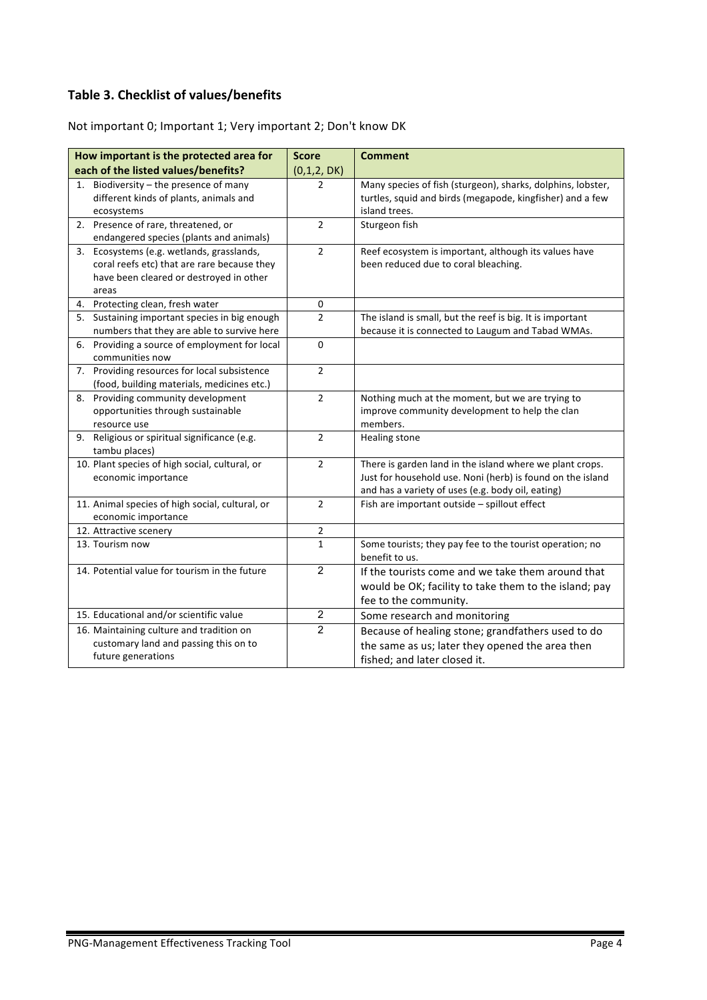### **Table 3. Checklist of values/benefits**

|  |  |  |  |  | Not important 0; Important 1; Very important 2; Don't know DK |
|--|--|--|--|--|---------------------------------------------------------------|
|--|--|--|--|--|---------------------------------------------------------------|

| How important is the protected area for          | <b>Score</b>   | <b>Comment</b>                                              |
|--------------------------------------------------|----------------|-------------------------------------------------------------|
| each of the listed values/benefits?              | (0,1,2, DK)    |                                                             |
| Biodiversity - the presence of many<br>1.        | 2              | Many species of fish (sturgeon), sharks, dolphins, lobster, |
| different kinds of plants, animals and           |                | turtles, squid and birds (megapode, kingfisher) and a few   |
| ecosystems                                       |                | island trees.                                               |
| 2. Presence of rare, threatened, or              | $\overline{2}$ | Sturgeon fish                                               |
| endangered species (plants and animals)          |                |                                                             |
| 3. Ecosystems (e.g. wetlands, grasslands,        | $\overline{2}$ | Reef ecosystem is important, although its values have       |
| coral reefs etc) that are rare because they      |                | been reduced due to coral bleaching.                        |
| have been cleared or destroyed in other          |                |                                                             |
| areas                                            |                |                                                             |
| 4. Protecting clean, fresh water                 | 0              |                                                             |
| 5. Sustaining important species in big enough    | $\overline{2}$ | The island is small, but the reef is big. It is important   |
| numbers that they are able to survive here       |                | because it is connected to Laugum and Tabad WMAs.           |
| Providing a source of employment for local<br>6. | $\mathbf 0$    |                                                             |
| communities now                                  |                |                                                             |
| 7. Providing resources for local subsistence     | $\overline{2}$ |                                                             |
| (food, building materials, medicines etc.)       |                |                                                             |
| Providing community development<br>8.            | $\overline{2}$ | Nothing much at the moment, but we are trying to            |
| opportunities through sustainable                |                | improve community development to help the clan              |
| resource use                                     |                | members.                                                    |
| 9. Religious or spiritual significance (e.g.     | $\overline{2}$ | Healing stone                                               |
| tambu places)                                    |                |                                                             |
| 10. Plant species of high social, cultural, or   | $\overline{2}$ | There is garden land in the island where we plant crops.    |
| economic importance                              |                | Just for household use. Noni (herb) is found on the island  |
|                                                  |                | and has a variety of uses (e.g. body oil, eating)           |
| 11. Animal species of high social, cultural, or  | $\overline{2}$ | Fish are important outside - spillout effect                |
| economic importance                              |                |                                                             |
| 12. Attractive scenery                           | $\overline{2}$ |                                                             |
| 13. Tourism now                                  | $\mathbf{1}$   | Some tourists; they pay fee to the tourist operation; no    |
|                                                  |                | benefit to us.                                              |
| 14. Potential value for tourism in the future    | $\overline{2}$ | If the tourists come and we take them around that           |
|                                                  |                | would be OK; facility to take them to the island; pay       |
|                                                  |                | fee to the community.                                       |
| 15. Educational and/or scientific value          | $\overline{c}$ | Some research and monitoring                                |
| 16. Maintaining culture and tradition on         | $\overline{2}$ | Because of healing stone; grandfathers used to do           |
| customary land and passing this on to            |                | the same as us; later they opened the area then             |
| future generations                               |                | fished; and later closed it.                                |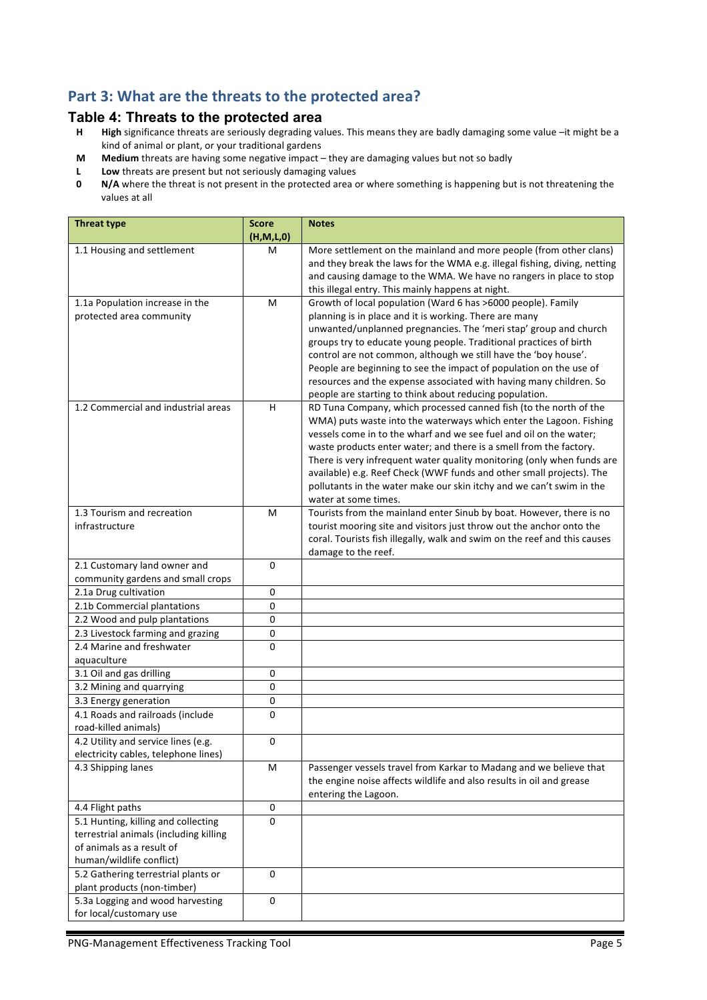#### Part 3: What are the threats to the protected area?

# **Table 4: Threats to the protected area**<br>**H** High significance threats are seriously degrading va

- High significance threats are seriously degrading values. This means they are badly damaging some value -it might be a kind of animal or plant, or your traditional gardens
- **M** Medium threats are having some negative impact they are damaging values but not so badly
- **L** Low threats are present but not seriously damaging values<br>**0** N/A where the threat is not present in the protected area of
- **N/A** where the threat is not present in the protected area or where something is happening but is not threatening the values at all

| <b>Threat type</b>                                                                                                                     | <b>Score</b><br>(H, M, L, 0) | <b>Notes</b>                                                                                                                                                                                                                                                                                                                                                                                                                                                                                                                               |
|----------------------------------------------------------------------------------------------------------------------------------------|------------------------------|--------------------------------------------------------------------------------------------------------------------------------------------------------------------------------------------------------------------------------------------------------------------------------------------------------------------------------------------------------------------------------------------------------------------------------------------------------------------------------------------------------------------------------------------|
| 1.1 Housing and settlement                                                                                                             | M                            | More settlement on the mainland and more people (from other clans)<br>and they break the laws for the WMA e.g. illegal fishing, diving, netting<br>and causing damage to the WMA. We have no rangers in place to stop<br>this illegal entry. This mainly happens at night.                                                                                                                                                                                                                                                                 |
| 1.1a Population increase in the<br>protected area community                                                                            | м                            | Growth of local population (Ward 6 has >6000 people). Family<br>planning is in place and it is working. There are many<br>unwanted/unplanned pregnancies. The 'meri stap' group and church<br>groups try to educate young people. Traditional practices of birth<br>control are not common, although we still have the 'boy house'.<br>People are beginning to see the impact of population on the use of<br>resources and the expense associated with having many children. So<br>people are starting to think about reducing population. |
| 1.2 Commercial and industrial areas                                                                                                    | H                            | RD Tuna Company, which processed canned fish (to the north of the<br>WMA) puts waste into the waterways which enter the Lagoon. Fishing<br>vessels come in to the wharf and we see fuel and oil on the water;<br>waste products enter water; and there is a smell from the factory.<br>There is very infrequent water quality monitoring (only when funds are<br>available) e.g. Reef Check (WWF funds and other small projects). The<br>pollutants in the water make our skin itchy and we can't swim in the<br>water at some times.      |
| 1.3 Tourism and recreation<br>infrastructure                                                                                           | М                            | Tourists from the mainland enter Sinub by boat. However, there is no<br>tourist mooring site and visitors just throw out the anchor onto the<br>coral. Tourists fish illegally, walk and swim on the reef and this causes<br>damage to the reef.                                                                                                                                                                                                                                                                                           |
| 2.1 Customary land owner and<br>community gardens and small crops                                                                      | $\Omega$                     |                                                                                                                                                                                                                                                                                                                                                                                                                                                                                                                                            |
| 2.1a Drug cultivation                                                                                                                  | 0                            |                                                                                                                                                                                                                                                                                                                                                                                                                                                                                                                                            |
| 2.1b Commercial plantations                                                                                                            | 0                            |                                                                                                                                                                                                                                                                                                                                                                                                                                                                                                                                            |
| 2.2 Wood and pulp plantations                                                                                                          | 0                            |                                                                                                                                                                                                                                                                                                                                                                                                                                                                                                                                            |
| 2.3 Livestock farming and grazing                                                                                                      | 0                            |                                                                                                                                                                                                                                                                                                                                                                                                                                                                                                                                            |
| 2.4 Marine and freshwater<br>aquaculture                                                                                               | 0                            |                                                                                                                                                                                                                                                                                                                                                                                                                                                                                                                                            |
| 3.1 Oil and gas drilling                                                                                                               | 0                            |                                                                                                                                                                                                                                                                                                                                                                                                                                                                                                                                            |
| 3.2 Mining and quarrying                                                                                                               | 0                            |                                                                                                                                                                                                                                                                                                                                                                                                                                                                                                                                            |
| 3.3 Energy generation                                                                                                                  | 0                            |                                                                                                                                                                                                                                                                                                                                                                                                                                                                                                                                            |
| 4.1 Roads and railroads (include<br>road-killed animals)                                                                               | 0                            |                                                                                                                                                                                                                                                                                                                                                                                                                                                                                                                                            |
| 4.2 Utility and service lines (e.g.<br>electricity cables, telephone lines)                                                            | 0                            |                                                                                                                                                                                                                                                                                                                                                                                                                                                                                                                                            |
| 4.3 Shipping lanes                                                                                                                     | M                            | Passenger vessels travel from Karkar to Madang and we believe that<br>the engine noise affects wildlife and also results in oil and grease<br>entering the Lagoon.                                                                                                                                                                                                                                                                                                                                                                         |
| 4.4 Flight paths                                                                                                                       | 0                            |                                                                                                                                                                                                                                                                                                                                                                                                                                                                                                                                            |
| 5.1 Hunting, killing and collecting<br>terrestrial animals (including killing<br>of animals as a result of<br>human/wildlife conflict) | 0                            |                                                                                                                                                                                                                                                                                                                                                                                                                                                                                                                                            |
| 5.2 Gathering terrestrial plants or<br>plant products (non-timber)                                                                     | 0                            |                                                                                                                                                                                                                                                                                                                                                                                                                                                                                                                                            |
| 5.3a Logging and wood harvesting<br>for local/customary use                                                                            | 0                            |                                                                                                                                                                                                                                                                                                                                                                                                                                                                                                                                            |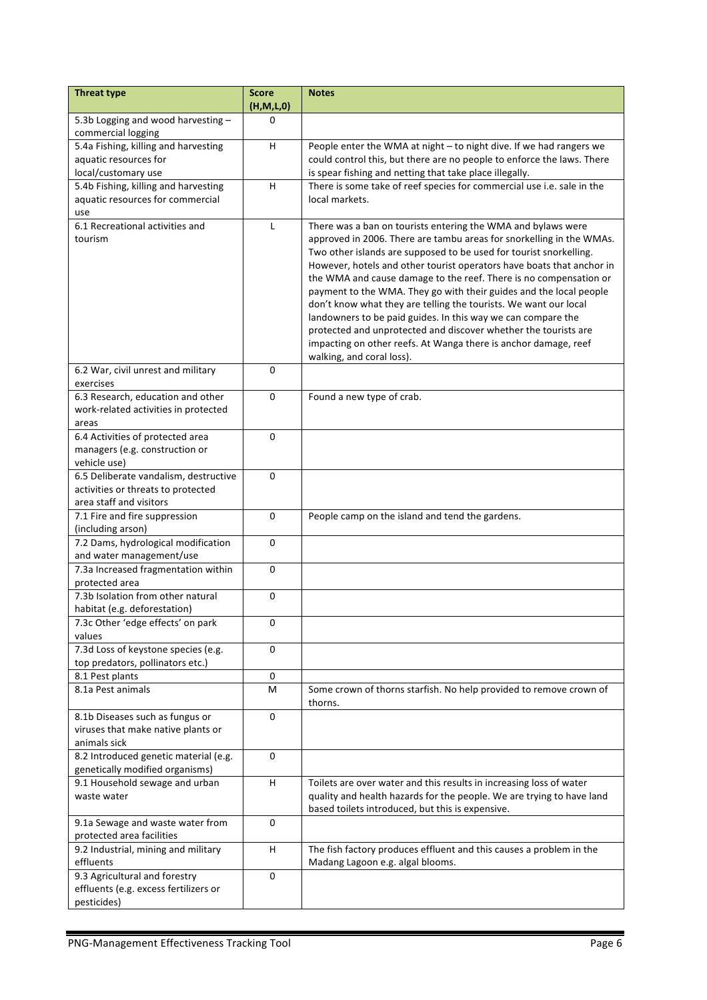| <b>Threat type</b>                                                                 | <b>Score</b><br>(H, M, L, 0) | <b>Notes</b>                                                                                                                                                                                                                                                                                                                                                                                                                                                                                                                                                                                                                                                                                             |
|------------------------------------------------------------------------------------|------------------------------|----------------------------------------------------------------------------------------------------------------------------------------------------------------------------------------------------------------------------------------------------------------------------------------------------------------------------------------------------------------------------------------------------------------------------------------------------------------------------------------------------------------------------------------------------------------------------------------------------------------------------------------------------------------------------------------------------------|
| 5.3b Logging and wood harvesting -                                                 | 0                            |                                                                                                                                                                                                                                                                                                                                                                                                                                                                                                                                                                                                                                                                                                          |
| commercial logging                                                                 |                              |                                                                                                                                                                                                                                                                                                                                                                                                                                                                                                                                                                                                                                                                                                          |
| 5.4a Fishing, killing and harvesting                                               | H                            | People enter the WMA at night - to night dive. If we had rangers we                                                                                                                                                                                                                                                                                                                                                                                                                                                                                                                                                                                                                                      |
| aquatic resources for                                                              |                              | could control this, but there are no people to enforce the laws. There                                                                                                                                                                                                                                                                                                                                                                                                                                                                                                                                                                                                                                   |
| local/customary use                                                                |                              | is spear fishing and netting that take place illegally.                                                                                                                                                                                                                                                                                                                                                                                                                                                                                                                                                                                                                                                  |
| 5.4b Fishing, killing and harvesting                                               | н                            | There is some take of reef species for commercial use i.e. sale in the                                                                                                                                                                                                                                                                                                                                                                                                                                                                                                                                                                                                                                   |
| aquatic resources for commercial                                                   |                              | local markets.                                                                                                                                                                                                                                                                                                                                                                                                                                                                                                                                                                                                                                                                                           |
| use                                                                                |                              |                                                                                                                                                                                                                                                                                                                                                                                                                                                                                                                                                                                                                                                                                                          |
| 6.1 Recreational activities and<br>tourism                                         | L                            | There was a ban on tourists entering the WMA and bylaws were<br>approved in 2006. There are tambu areas for snorkelling in the WMAs.<br>Two other islands are supposed to be used for tourist snorkelling.<br>However, hotels and other tourist operators have boats that anchor in<br>the WMA and cause damage to the reef. There is no compensation or<br>payment to the WMA. They go with their guides and the local people<br>don't know what they are telling the tourists. We want our local<br>landowners to be paid guides. In this way we can compare the<br>protected and unprotected and discover whether the tourists are<br>impacting on other reefs. At Wanga there is anchor damage, reef |
|                                                                                    |                              | walking, and coral loss).                                                                                                                                                                                                                                                                                                                                                                                                                                                                                                                                                                                                                                                                                |
| 6.2 War, civil unrest and military<br>exercises                                    | $\Omega$                     |                                                                                                                                                                                                                                                                                                                                                                                                                                                                                                                                                                                                                                                                                                          |
| 6.3 Research, education and other                                                  | $\Omega$                     | Found a new type of crab.                                                                                                                                                                                                                                                                                                                                                                                                                                                                                                                                                                                                                                                                                |
| work-related activities in protected                                               |                              |                                                                                                                                                                                                                                                                                                                                                                                                                                                                                                                                                                                                                                                                                                          |
| areas                                                                              |                              |                                                                                                                                                                                                                                                                                                                                                                                                                                                                                                                                                                                                                                                                                                          |
| 6.4 Activities of protected area<br>managers (e.g. construction or<br>vehicle use) | 0                            |                                                                                                                                                                                                                                                                                                                                                                                                                                                                                                                                                                                                                                                                                                          |
| 6.5 Deliberate vandalism, destructive                                              | $\Omega$                     |                                                                                                                                                                                                                                                                                                                                                                                                                                                                                                                                                                                                                                                                                                          |
| activities or threats to protected                                                 |                              |                                                                                                                                                                                                                                                                                                                                                                                                                                                                                                                                                                                                                                                                                                          |
| area staff and visitors                                                            |                              |                                                                                                                                                                                                                                                                                                                                                                                                                                                                                                                                                                                                                                                                                                          |
| 7.1 Fire and fire suppression                                                      | 0                            | People camp on the island and tend the gardens.                                                                                                                                                                                                                                                                                                                                                                                                                                                                                                                                                                                                                                                          |
| (including arson)                                                                  |                              |                                                                                                                                                                                                                                                                                                                                                                                                                                                                                                                                                                                                                                                                                                          |
| 7.2 Dams, hydrological modification<br>and water management/use                    | 0                            |                                                                                                                                                                                                                                                                                                                                                                                                                                                                                                                                                                                                                                                                                                          |
| 7.3a Increased fragmentation within                                                | $\mathbf 0$                  |                                                                                                                                                                                                                                                                                                                                                                                                                                                                                                                                                                                                                                                                                                          |
| protected area                                                                     |                              |                                                                                                                                                                                                                                                                                                                                                                                                                                                                                                                                                                                                                                                                                                          |
| 7.3b Isolation from other natural                                                  | $\Omega$                     |                                                                                                                                                                                                                                                                                                                                                                                                                                                                                                                                                                                                                                                                                                          |
| habitat (e.g. deforestation)                                                       |                              |                                                                                                                                                                                                                                                                                                                                                                                                                                                                                                                                                                                                                                                                                                          |
| 7.3c Other 'edge effects' on park<br>values                                        | 0                            |                                                                                                                                                                                                                                                                                                                                                                                                                                                                                                                                                                                                                                                                                                          |
| 7.3d Loss of keystone species (e.g.                                                | 0                            |                                                                                                                                                                                                                                                                                                                                                                                                                                                                                                                                                                                                                                                                                                          |
| top predators, pollinators etc.)                                                   |                              |                                                                                                                                                                                                                                                                                                                                                                                                                                                                                                                                                                                                                                                                                                          |
| 8.1 Pest plants                                                                    | 0                            |                                                                                                                                                                                                                                                                                                                                                                                                                                                                                                                                                                                                                                                                                                          |
| 8.1a Pest animals                                                                  | M                            | Some crown of thorns starfish. No help provided to remove crown of<br>thorns.                                                                                                                                                                                                                                                                                                                                                                                                                                                                                                                                                                                                                            |
| 8.1b Diseases such as fungus or                                                    | $\Omega$                     |                                                                                                                                                                                                                                                                                                                                                                                                                                                                                                                                                                                                                                                                                                          |
| viruses that make native plants or                                                 |                              |                                                                                                                                                                                                                                                                                                                                                                                                                                                                                                                                                                                                                                                                                                          |
| animals sick                                                                       |                              |                                                                                                                                                                                                                                                                                                                                                                                                                                                                                                                                                                                                                                                                                                          |
| 8.2 Introduced genetic material (e.g.                                              | 0                            |                                                                                                                                                                                                                                                                                                                                                                                                                                                                                                                                                                                                                                                                                                          |
| genetically modified organisms)                                                    |                              |                                                                                                                                                                                                                                                                                                                                                                                                                                                                                                                                                                                                                                                                                                          |
| 9.1 Household sewage and urban<br>waste water                                      | H.                           | Toilets are over water and this results in increasing loss of water<br>quality and health hazards for the people. We are trying to have land<br>based toilets introduced, but this is expensive.                                                                                                                                                                                                                                                                                                                                                                                                                                                                                                         |
| 9.1a Sewage and waste water from                                                   | 0                            |                                                                                                                                                                                                                                                                                                                                                                                                                                                                                                                                                                                                                                                                                                          |
| protected area facilities                                                          |                              |                                                                                                                                                                                                                                                                                                                                                                                                                                                                                                                                                                                                                                                                                                          |
| 9.2 Industrial, mining and military<br>effluents                                   | H                            | The fish factory produces effluent and this causes a problem in the<br>Madang Lagoon e.g. algal blooms.                                                                                                                                                                                                                                                                                                                                                                                                                                                                                                                                                                                                  |
| 9.3 Agricultural and forestry                                                      | $\Omega$                     |                                                                                                                                                                                                                                                                                                                                                                                                                                                                                                                                                                                                                                                                                                          |
| effluents (e.g. excess fertilizers or                                              |                              |                                                                                                                                                                                                                                                                                                                                                                                                                                                                                                                                                                                                                                                                                                          |
| pesticides)                                                                        |                              |                                                                                                                                                                                                                                                                                                                                                                                                                                                                                                                                                                                                                                                                                                          |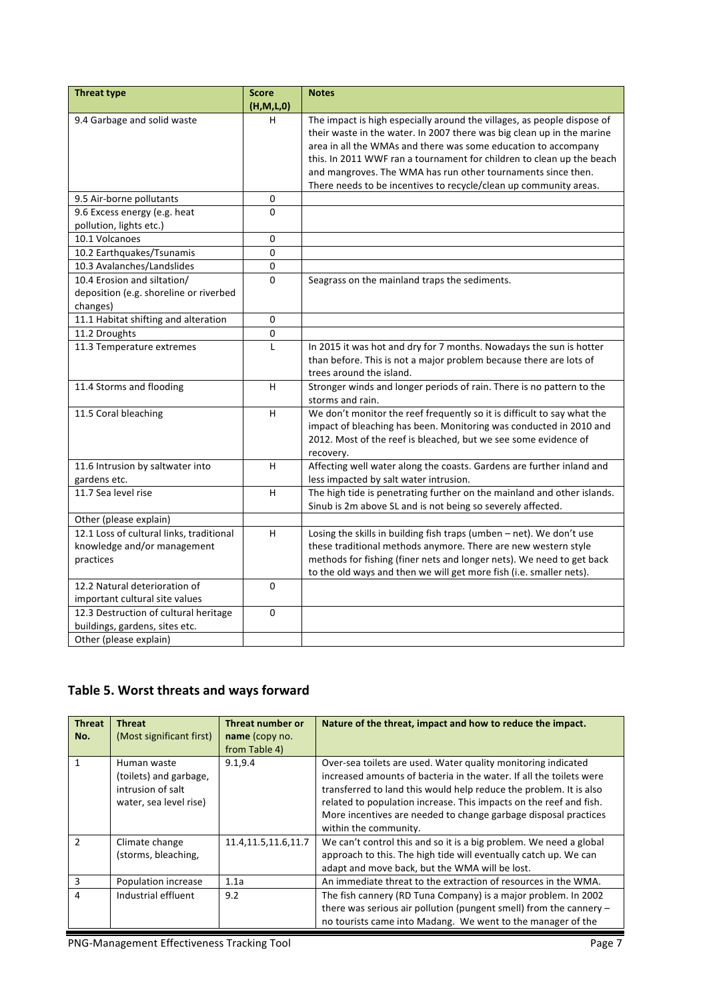| <b>Threat type</b>                       | <b>Score</b> | <b>Notes</b>                                                            |
|------------------------------------------|--------------|-------------------------------------------------------------------------|
|                                          | (H,M,L,0)    |                                                                         |
| 9.4 Garbage and solid waste              | н            | The impact is high especially around the villages, as people dispose of |
|                                          |              | their waste in the water. In 2007 there was big clean up in the marine  |
|                                          |              | area in all the WMAs and there was some education to accompany          |
|                                          |              | this. In 2011 WWF ran a tournament for children to clean up the beach   |
|                                          |              | and mangroves. The WMA has run other tournaments since then.            |
|                                          |              | There needs to be incentives to recycle/clean up community areas.       |
| 9.5 Air-borne pollutants                 | 0            |                                                                         |
| 9.6 Excess energy (e.g. heat             | $\Omega$     |                                                                         |
| pollution, lights etc.)                  |              |                                                                         |
| 10.1 Volcanoes                           | 0            |                                                                         |
| 10.2 Earthquakes/Tsunamis                | 0            |                                                                         |
| 10.3 Avalanches/Landslides               | $\mathbf 0$  |                                                                         |
| 10.4 Erosion and siltation/              | $\Omega$     | Seagrass on the mainland traps the sediments.                           |
| deposition (e.g. shoreline or riverbed   |              |                                                                         |
| changes)                                 |              |                                                                         |
| 11.1 Habitat shifting and alteration     | 0            |                                                                         |
| 11.2 Droughts                            | 0            |                                                                         |
| 11.3 Temperature extremes                | L            | In 2015 it was hot and dry for 7 months. Nowadays the sun is hotter     |
|                                          |              | than before. This is not a major problem because there are lots of      |
|                                          |              | trees around the island.                                                |
| 11.4 Storms and flooding                 | H            | Stronger winds and longer periods of rain. There is no pattern to the   |
|                                          |              | storms and rain.                                                        |
| 11.5 Coral bleaching                     | H            | We don't monitor the reef frequently so it is difficult to say what the |
|                                          |              | impact of bleaching has been. Monitoring was conducted in 2010 and      |
|                                          |              | 2012. Most of the reef is bleached, but we see some evidence of         |
|                                          |              | recovery.                                                               |
| 11.6 Intrusion by saltwater into         | H            | Affecting well water along the coasts. Gardens are further inland and   |
| gardens etc.                             |              | less impacted by salt water intrusion.                                  |
| 11.7 Sea level rise                      | H            | The high tide is penetrating further on the mainland and other islands. |
|                                          |              | Sinub is 2m above SL and is not being so severely affected.             |
| Other (please explain)                   |              |                                                                         |
| 12.1 Loss of cultural links, traditional | H            | Losing the skills in building fish traps (umben - net). We don't use    |
| knowledge and/or management              |              | these traditional methods anymore. There are new western style          |
| practices                                |              | methods for fishing (finer nets and longer nets). We need to get back   |
|                                          |              | to the old ways and then we will get more fish (i.e. smaller nets).     |
| 12.2 Natural deterioration of            | 0            |                                                                         |
| important cultural site values           |              |                                                                         |
| 12.3 Destruction of cultural heritage    | $\Omega$     |                                                                         |
| buildings, gardens, sites etc.           |              |                                                                         |
| Other (please explain)                   |              |                                                                         |

### Table 5. Worst threats and ways forward

| <b>Threat</b><br>No. | <b>Threat</b><br>(Most significant first)                                            | Threat number or<br>name (copy no.<br>from Table 4) | Nature of the threat, impact and how to reduce the impact.                                                                                                                                                                                                                                                                                                                   |
|----------------------|--------------------------------------------------------------------------------------|-----------------------------------------------------|------------------------------------------------------------------------------------------------------------------------------------------------------------------------------------------------------------------------------------------------------------------------------------------------------------------------------------------------------------------------------|
|                      | Human waste<br>(toilets) and garbage,<br>intrusion of salt<br>water, sea level rise) | 9.1, 9.4                                            | Over-sea toilets are used. Water quality monitoring indicated<br>increased amounts of bacteria in the water. If all the toilets were<br>transferred to land this would help reduce the problem. It is also<br>related to population increase. This impacts on the reef and fish.<br>More incentives are needed to change garbage disposal practices<br>within the community. |
| $\mathcal{P}$        | Climate change<br>(storms, bleaching,                                                | 11.4, 11.5, 11.6, 11.7                              | We can't control this and so it is a big problem. We need a global<br>approach to this. The high tide will eventually catch up. We can<br>adapt and move back, but the WMA will be lost.                                                                                                                                                                                     |
| 3                    | Population increase                                                                  | 1.1a                                                | An immediate threat to the extraction of resources in the WMA.                                                                                                                                                                                                                                                                                                               |
| 4                    | Industrial effluent                                                                  | 9.2                                                 | The fish cannery (RD Tuna Company) is a major problem. In 2002<br>there was serious air pollution (pungent smell) from the cannery $-$<br>no tourists came into Madang. We went to the manager of the                                                                                                                                                                        |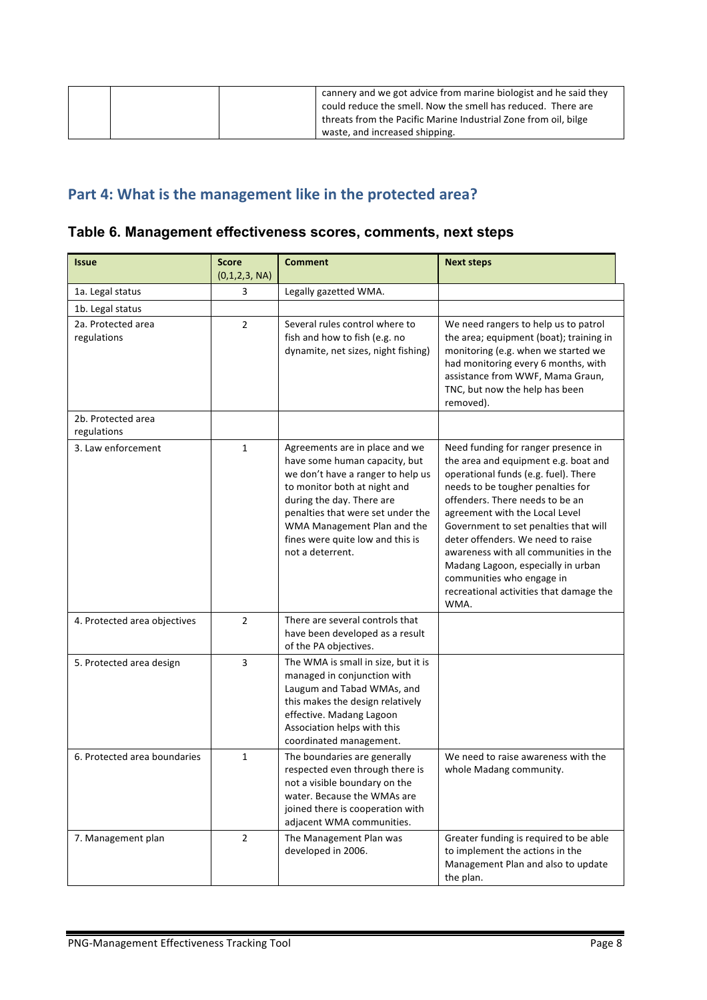| cannery and we got advice from marine biologist and he said they<br>could reduce the smell. Now the smell has reduced. There are |
|----------------------------------------------------------------------------------------------------------------------------------|
| threats from the Pacific Marine Industrial Zone from oil, bilge<br>waste, and increased shipping.                                |

# Part 4: What is the management like in the protected area?

### **Table 6. Management effectiveness scores, comments, next steps**

| <b>Issue</b>                      | <b>Score</b><br>(0,1,2,3, NA) | <b>Comment</b>                                                                                                                                                                                                                                                                                | <b>Next steps</b>                                                                                                                                                                                                                                                                                                                                                                                                                                                          |
|-----------------------------------|-------------------------------|-----------------------------------------------------------------------------------------------------------------------------------------------------------------------------------------------------------------------------------------------------------------------------------------------|----------------------------------------------------------------------------------------------------------------------------------------------------------------------------------------------------------------------------------------------------------------------------------------------------------------------------------------------------------------------------------------------------------------------------------------------------------------------------|
| 1a. Legal status                  | 3                             | Legally gazetted WMA.                                                                                                                                                                                                                                                                         |                                                                                                                                                                                                                                                                                                                                                                                                                                                                            |
| 1b. Legal status                  |                               |                                                                                                                                                                                                                                                                                               |                                                                                                                                                                                                                                                                                                                                                                                                                                                                            |
| 2a. Protected area<br>regulations | $\overline{2}$                | Several rules control where to<br>fish and how to fish (e.g. no<br>dynamite, net sizes, night fishing)                                                                                                                                                                                        | We need rangers to help us to patrol<br>the area; equipment (boat); training in<br>monitoring (e.g. when we started we<br>had monitoring every 6 months, with<br>assistance from WWF, Mama Graun,<br>TNC, but now the help has been<br>removed).                                                                                                                                                                                                                           |
| 2b. Protected area<br>regulations |                               |                                                                                                                                                                                                                                                                                               |                                                                                                                                                                                                                                                                                                                                                                                                                                                                            |
| 3. Law enforcement                | $\mathbf{1}$                  | Agreements are in place and we<br>have some human capacity, but<br>we don't have a ranger to help us<br>to monitor both at night and<br>during the day. There are<br>penalties that were set under the<br>WMA Management Plan and the<br>fines were quite low and this is<br>not a deterrent. | Need funding for ranger presence in<br>the area and equipment e.g. boat and<br>operational funds (e.g. fuel). There<br>needs to be tougher penalties for<br>offenders. There needs to be an<br>agreement with the Local Level<br>Government to set penalties that will<br>deter offenders. We need to raise<br>awareness with all communities in the<br>Madang Lagoon, especially in urban<br>communities who engage in<br>recreational activities that damage the<br>WMA. |
| 4. Protected area objectives      | $\overline{2}$                | There are several controls that<br>have been developed as a result<br>of the PA objectives.                                                                                                                                                                                                   |                                                                                                                                                                                                                                                                                                                                                                                                                                                                            |
| 5. Protected area design          | 3                             | The WMA is small in size, but it is<br>managed in conjunction with<br>Laugum and Tabad WMAs, and<br>this makes the design relatively<br>effective. Madang Lagoon<br>Association helps with this<br>coordinated management.                                                                    |                                                                                                                                                                                                                                                                                                                                                                                                                                                                            |
| 6. Protected area boundaries      | 1                             | The boundaries are generally<br>respected even through there is<br>not a visible boundary on the<br>water. Because the WMAs are<br>joined there is cooperation with<br>adjacent WMA communities.                                                                                              | We need to raise awareness with the<br>whole Madang community.                                                                                                                                                                                                                                                                                                                                                                                                             |
| 7. Management plan                | $\overline{2}$                | The Management Plan was<br>developed in 2006.                                                                                                                                                                                                                                                 | Greater funding is required to be able<br>to implement the actions in the<br>Management Plan and also to update<br>the plan.                                                                                                                                                                                                                                                                                                                                               |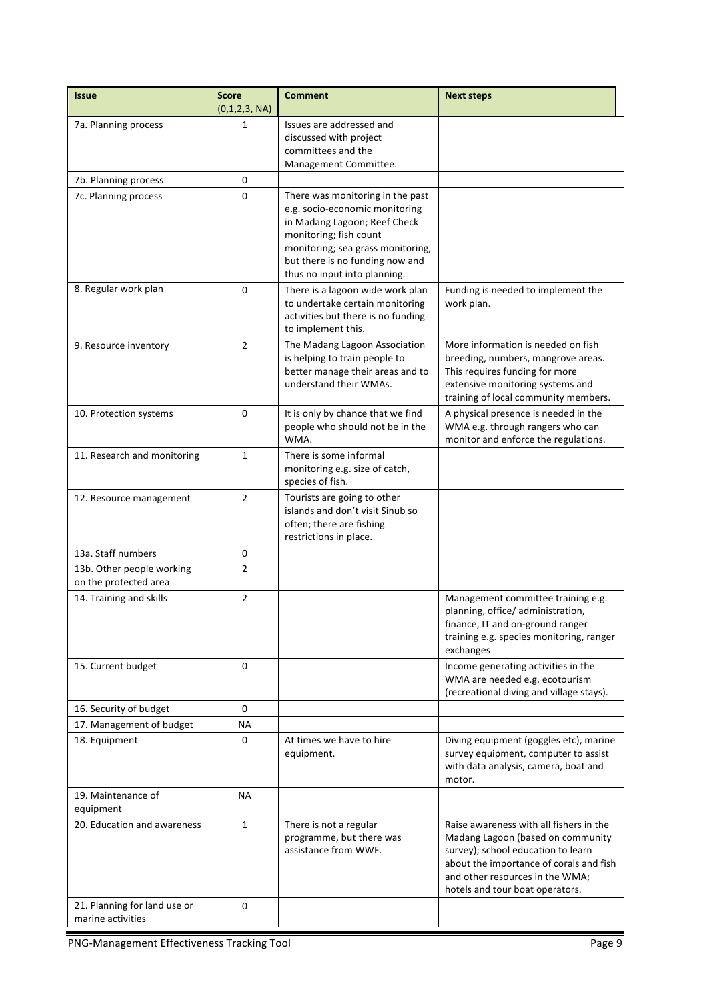| <b>Issue</b>                                       | <b>Score</b><br>(0,1,2,3, NA) | <b>Comment</b>                                                                                                                                                                                                                       | <b>Next steps</b>                                                                                                                                                                                                                   |
|----------------------------------------------------|-------------------------------|--------------------------------------------------------------------------------------------------------------------------------------------------------------------------------------------------------------------------------------|-------------------------------------------------------------------------------------------------------------------------------------------------------------------------------------------------------------------------------------|
| 7a. Planning process                               | 1                             | Issues are addressed and<br>discussed with project<br>committees and the<br>Management Committee.                                                                                                                                    |                                                                                                                                                                                                                                     |
| 7b. Planning process                               | 0                             |                                                                                                                                                                                                                                      |                                                                                                                                                                                                                                     |
| 7c. Planning process                               | $\Omega$                      | There was monitoring in the past<br>e.g. socio-economic monitoring<br>in Madang Lagoon; Reef Check<br>monitoring; fish count<br>monitoring; sea grass monitoring,<br>but there is no funding now and<br>thus no input into planning. |                                                                                                                                                                                                                                     |
| 8. Regular work plan                               | $\Omega$                      | There is a lagoon wide work plan<br>to undertake certain monitoring<br>activities but there is no funding<br>to implement this.                                                                                                      | Funding is needed to implement the<br>work plan.                                                                                                                                                                                    |
| 9. Resource inventory                              | $\overline{2}$                | The Madang Lagoon Association<br>is helping to train people to<br>better manage their areas and to<br>understand their WMAs.                                                                                                         | More information is needed on fish<br>breeding, numbers, mangrove areas.<br>This requires funding for more<br>extensive monitoring systems and<br>training of local community members.                                              |
| 10. Protection systems                             | 0                             | It is only by chance that we find<br>people who should not be in the<br>WMA.                                                                                                                                                         | A physical presence is needed in the<br>WMA e.g. through rangers who can<br>monitor and enforce the regulations.                                                                                                                    |
| 11. Research and monitoring                        | $\mathbf{1}$                  | There is some informal<br>monitoring e.g. size of catch,<br>species of fish.                                                                                                                                                         |                                                                                                                                                                                                                                     |
| 12. Resource management                            | $\overline{2}$                | Tourists are going to other<br>islands and don't visit Sinub so<br>often; there are fishing<br>restrictions in place.                                                                                                                |                                                                                                                                                                                                                                     |
| 13a. Staff numbers                                 | 0                             |                                                                                                                                                                                                                                      |                                                                                                                                                                                                                                     |
| 13b. Other people working<br>on the protected area | 2                             |                                                                                                                                                                                                                                      |                                                                                                                                                                                                                                     |
| 14. Training and skills                            | 2                             |                                                                                                                                                                                                                                      | Management committee training e.g.<br>planning, office/ administration,<br>finance, IT and on-ground ranger<br>training e.g. species monitoring, ranger<br>exchanges                                                                |
| 15. Current budget                                 | 0                             |                                                                                                                                                                                                                                      | Income generating activities in the<br>WMA are needed e.g. ecotourism<br>(recreational diving and village stays).                                                                                                                   |
| 16. Security of budget                             | 0                             |                                                                                                                                                                                                                                      |                                                                                                                                                                                                                                     |
| 17. Management of budget                           | ΝA                            |                                                                                                                                                                                                                                      |                                                                                                                                                                                                                                     |
| 18. Equipment                                      | 0                             | At times we have to hire<br>equipment.                                                                                                                                                                                               | Diving equipment (goggles etc), marine<br>survey equipment, computer to assist<br>with data analysis, camera, boat and<br>motor.                                                                                                    |
| 19. Maintenance of<br>equipment                    | ΝA                            |                                                                                                                                                                                                                                      |                                                                                                                                                                                                                                     |
| 20. Education and awareness                        | $\mathbf{1}$                  | There is not a regular<br>programme, but there was<br>assistance from WWF.                                                                                                                                                           | Raise awareness with all fishers in the<br>Madang Lagoon (based on community<br>survey); school education to learn<br>about the importance of corals and fish<br>and other resources in the WMA;<br>hotels and tour boat operators. |
| 21. Planning for land use or<br>marine activities  | 0                             |                                                                                                                                                                                                                                      |                                                                                                                                                                                                                                     |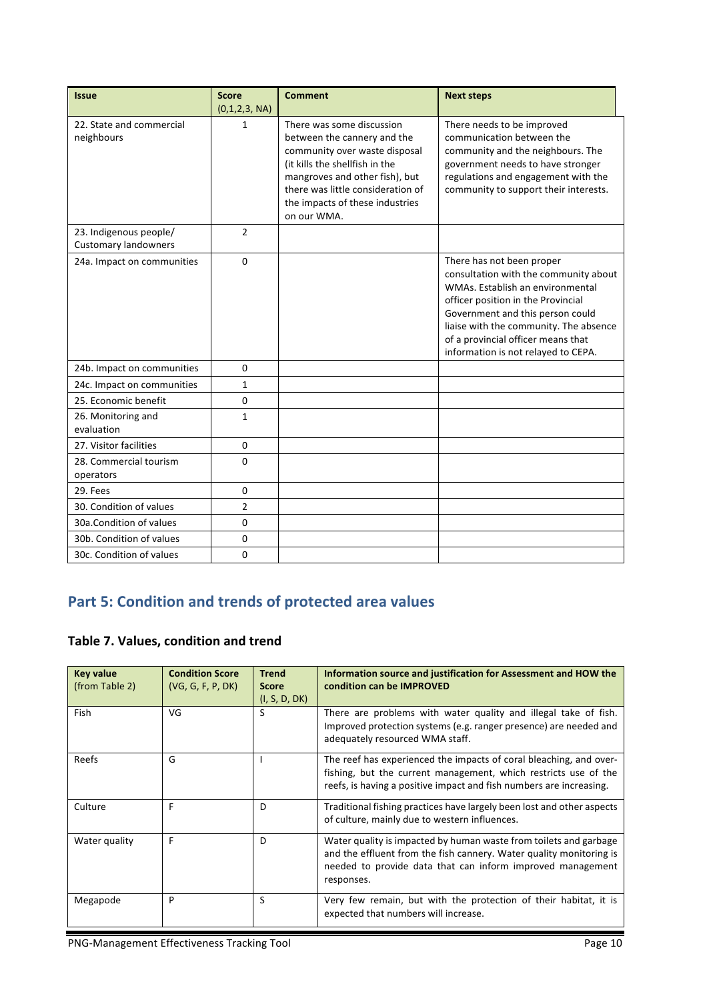| <b>Issue</b>                                          | <b>Score</b><br>(0,1,2,3, NA) | <b>Comment</b>                                                                                                                                                                                                                                       | <b>Next steps</b>                                                                                                                                                                                                                                                                                       |
|-------------------------------------------------------|-------------------------------|------------------------------------------------------------------------------------------------------------------------------------------------------------------------------------------------------------------------------------------------------|---------------------------------------------------------------------------------------------------------------------------------------------------------------------------------------------------------------------------------------------------------------------------------------------------------|
| 22. State and commercial<br>neighbours                | 1                             | There was some discussion<br>between the cannery and the<br>community over waste disposal<br>(it kills the shellfish in the<br>mangroves and other fish), but<br>there was little consideration of<br>the impacts of these industries<br>on our WMA. | There needs to be improved<br>communication between the<br>community and the neighbours. The<br>government needs to have stronger<br>regulations and engagement with the<br>community to support their interests.                                                                                       |
| 23. Indigenous people/<br><b>Customary landowners</b> | $\overline{2}$                |                                                                                                                                                                                                                                                      |                                                                                                                                                                                                                                                                                                         |
| 24a. Impact on communities                            | $\Omega$                      |                                                                                                                                                                                                                                                      | There has not been proper<br>consultation with the community about<br>WMAs. Establish an environmental<br>officer position in the Provincial<br>Government and this person could<br>liaise with the community. The absence<br>of a provincial officer means that<br>information is not relayed to CEPA. |
| 24b. Impact on communities                            | 0                             |                                                                                                                                                                                                                                                      |                                                                                                                                                                                                                                                                                                         |
| 24c. Impact on communities                            | $\mathbf{1}$                  |                                                                                                                                                                                                                                                      |                                                                                                                                                                                                                                                                                                         |
| 25. Economic benefit                                  | 0                             |                                                                                                                                                                                                                                                      |                                                                                                                                                                                                                                                                                                         |
| 26. Monitoring and<br>evaluation                      | $\mathbf{1}$                  |                                                                                                                                                                                                                                                      |                                                                                                                                                                                                                                                                                                         |
| 27. Visitor facilities                                | $\mathbf 0$                   |                                                                                                                                                                                                                                                      |                                                                                                                                                                                                                                                                                                         |
| 28. Commercial tourism<br>operators                   | 0                             |                                                                                                                                                                                                                                                      |                                                                                                                                                                                                                                                                                                         |
| 29. Fees                                              | $\Omega$                      |                                                                                                                                                                                                                                                      |                                                                                                                                                                                                                                                                                                         |
| 30. Condition of values                               | $\overline{2}$                |                                                                                                                                                                                                                                                      |                                                                                                                                                                                                                                                                                                         |
| 30a.Condition of values                               | 0                             |                                                                                                                                                                                                                                                      |                                                                                                                                                                                                                                                                                                         |
| 30b. Condition of values                              | 0                             |                                                                                                                                                                                                                                                      |                                                                                                                                                                                                                                                                                                         |
| 30c. Condition of values                              | 0                             |                                                                                                                                                                                                                                                      |                                                                                                                                                                                                                                                                                                         |

# **Part 5: Condition and trends of protected area values**

### **Table 7. Values, condition and trend**

| <b>Key value</b><br>(from Table 2) | <b>Condition Score</b><br>(VG, G, F, P, DK) | <b>Trend</b><br><b>Score</b><br>(I, S, D, DK) | Information source and justification for Assessment and HOW the<br>condition can be IMPROVED                                                                                                                         |
|------------------------------------|---------------------------------------------|-----------------------------------------------|----------------------------------------------------------------------------------------------------------------------------------------------------------------------------------------------------------------------|
| Fish                               | VG                                          | S                                             | There are problems with water quality and illegal take of fish.<br>Improved protection systems (e.g. ranger presence) are needed and<br>adequately resourced WMA staff.                                              |
| Reefs                              | G                                           |                                               | The reef has experienced the impacts of coral bleaching, and over-<br>fishing, but the current management, which restricts use of the<br>reefs, is having a positive impact and fish numbers are increasing.         |
| Culture                            | F                                           | D                                             | Traditional fishing practices have largely been lost and other aspects<br>of culture, mainly due to western influences.                                                                                              |
| Water quality                      | F                                           | D                                             | Water quality is impacted by human waste from toilets and garbage<br>and the effluent from the fish cannery. Water quality monitoring is<br>needed to provide data that can inform improved management<br>responses. |
| Megapode                           | P                                           | S                                             | Very few remain, but with the protection of their habitat, it is<br>expected that numbers will increase.                                                                                                             |